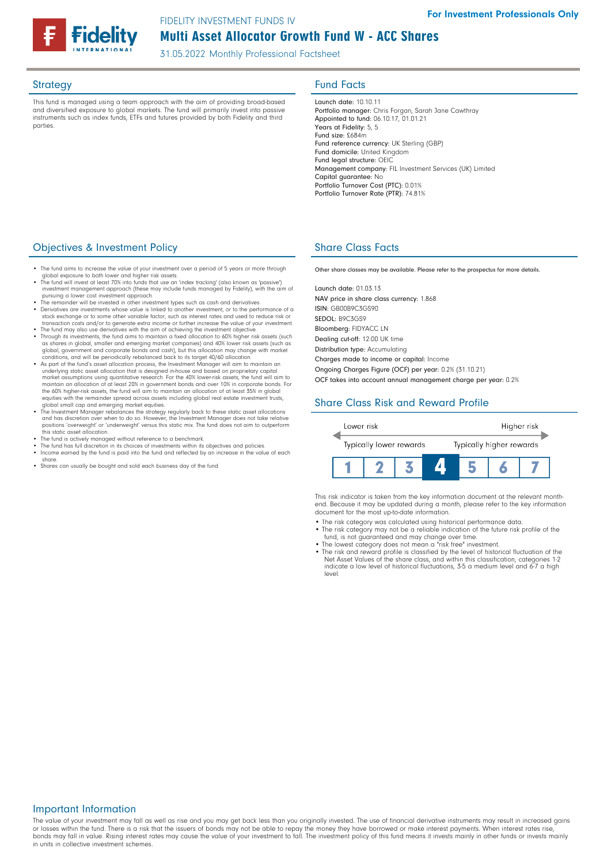# Multi Asset Allocator Growth Fund W - ACC Shares FIDELITY INVESTMENT FUNDS IV

31.05.2022 Monthly Professional Factsheet

This fund is managed using a team approach with the aim of providing broad-based and diversified exposure to global markets. The fund will primarily invest into passive instruments such as index funds, ETFs and futures provided by both Fidelity and third parties

## Strategy **Fund Facts**

Launch date: 10.10.11 Portfolio manager: Chris Forgan, Sarah Jane Cawthray Appointed to fund: 06.10.17, 01.01.21 Years at Fidelity: 5, 5 Fund size: £684m Fund reference currency: UK Sterling (GBP) Fund domicile: United Kingdom Fund legal structure: OEIC Management company: FIL Investment Services (UK) Limited Capital guarantee: No Portfolio Turnover Cost (PTC): 0.01% Portfolio Turnover Rate (PTR): 74.81%

## **Objectives & Investment Policy Share Class Facts** Share Class Facts

- The fund aims to increase the value of your investment over a period of 5 years or more through
- global exposure to both lower and higher risk assets. The fund will invest at least 70% into funds that use an 'index tracking' (also known as 'passive') investment management approach (these may include funds managed by Fidelity), with the aim of<br>pursuing a lower cost investment approach.<br>• The remainder will be invested in other investment types such as cash and derivati
- Derivatives are investments whose value is linked to another investment, or to the performance of a stock exchange or to some other variable factor, such as interest rates and used to reduce risk or
- transaction costs and/or to generate extra income or further increase the value of your investment.
- The fund may also use derivatives with the aim of achieving the investment objective. Through its investments, the fund aims to maintain a fixed allocation to 60% higher risk assets (such as shares in global, smaller and emerging market companies) and 40% lower risk assets (such as<br>global, government and corporate bonds and cash), but this allocation may change with market<br>conditions, and will be periodical
- As part of the fund's asset allocation process, the Investment Manager will aim to maintain an<br>underlying static asset allocation that is designed in-house and based on proprietary capital<br>market assumptions using quanti maintain an allocation of at least 20% in government bonds and over 10% in corporate bonds. For the 60% higher-risk assets, the fund will aim to maintain an allocation of at least 35% in global equities with the remainder spread across assets including global real estate investment trusts,
- global small cap and emerging market equities. The Investment Manager rebalances the strategy regularly back to these static asset allocations and has discretion over when to do so. However, the Investment Manager does not take relative positions 'overweight' or 'underweight' versus this static mix. The fund does not aim to outperform this static asset allocation.
- 
- The fund is actively managed without reference to a benchmark. The fund has full discretion in its choices of investments within its objectives and policies. • Income earned by the fund is paid into the fund and reflected by an increase in the value of each share.
- Shares can usually be bought and sold each business day of the fund.

Other share classes may be available. Please refer to the prospectus for more details.

Launch date: 01.03.13 NAV price in share class currency: 1.868 ISIN: GB00B9C3GS90 SEDOL: B9C3GS9 Bloomberg: FIDYACC LN Dealing cut-off: 12:00 UK time Distribution type: Accumulating Charges made to income or capital: Income

Ongoing Charges Figure (OCF) per year: 0.2% (31.10.21)

OCF takes into account annual management charge per year: 0.2%

## Share Class Risk and Reward Profile



This risk indicator is taken from the key information document at the relevant monthend. Because it may be updated during a month, please refer to the key information document for the most up-to-date information.

- The risk category was calculated using historical performance data. The risk category may not be a reliable indication of the future risk profile of the
- 
- fund, is not guaranteed and may change over time. The lowest category does not mean a "risk free" investment. The risk and reward profile is classified by the level of historical fluctuation of the Net Asset Values of the share class, and within this classification, categories 1-2 indicate a low level of historical fluctuations, 3-5 a medium level and 6-7 a high level.

#### Important Information

The value of your investment may fall as well as rise and you may get back less than you originally invested. The use of financial derivative instruments may result in increased gains or losses within the fund. There is a risk that the issuers of bonds may not be able to repay the money they have borrowed or make interest payments. When interest rates rise, bonds may fall in value. Rising interest rates may cause the value of your investment to fall. The investment policy of this fund means it invests mainly in other funds or invests mainly in units in collective investment schemes.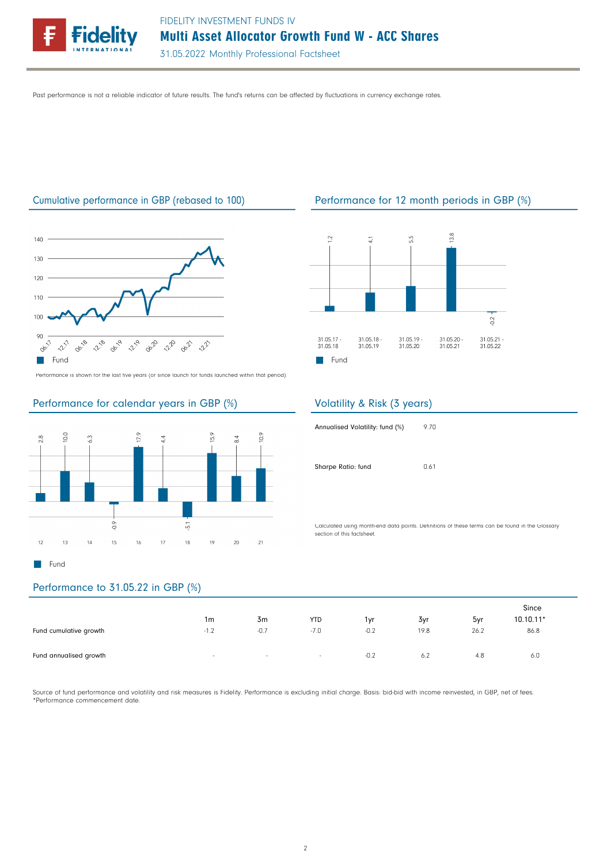

Past performance is not a reliable indicator of future results. The fund's returns can be affected by fluctuations in currency exchange rates.



Performance is shown for the last five years (or since launch for funds launched within that period).

### Performance for calendar years in GBP (%)



## Cumulative performance in GBP (rebased to 100) Performance for 12 month periods in GBP (%)



### Volatility & Risk (3 years)

| Annualised Volatility: fund (%) | 9.70 |
|---------------------------------|------|
| Sharpe Ratio: fund              | 0.61 |

Calculated using month-end data points. Definitions of these terms can be found in the Glossary section of this factsheet.

## Performance to 31.05.22 in GBP (%)

|                        | 1m     | 3 <sub>m</sub> | <b>YTD</b> | 1vr    | 3yr  | 5yr  | Since<br>$10.10.11*$ |
|------------------------|--------|----------------|------------|--------|------|------|----------------------|
| Fund cumulative growth | $-1.2$ | $-0.7$         | $-7.0$     | $-0.2$ | 19.8 | 26.2 | 86.8                 |
| Fund annualised growth | $\sim$ | $\sim$         | $\sim$     | $-0.2$ | 6.2  | 4.8  | 6.0                  |

Source of fund performance and volatility and risk measures is Fidelity. Performance is excluding initial charge. Basis: bid-bid with income reinvested, in GBP, net of fees. \*Performance commencement date.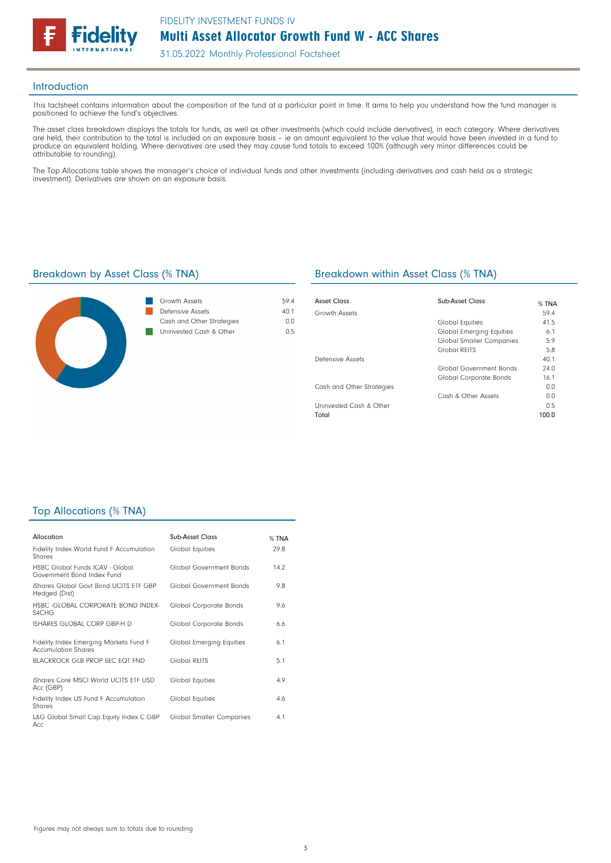

31.05.2022 Monthly Professional Factsheet

#### Introduction

This factsheet contains information about the composition of the fund at a particular point in time. It aims to help you understand how the fund manager is positioned to achieve the fund's objectives.

The asset class breakdown displays the totals for funds, as well as other investments (which could include derivatives), in each category. Where derivatives are held, their contribution to the total is included on an exposure basis – ie an amount equivalent to the value that would have been invested in a fund to produce an equivalent holding. Where derivatives are used they may cause fund totals to exceed 100% (although very minor differences could be attributable to rounding).

The Top Allocations table shows the manager's choice of individual funds and other investments (including derivatives and cash held as a strategic investment). Derivatives are shown on an exposure basis.



| Growth Assets             | 594  |
|---------------------------|------|
| Defensive Assets          | 40 1 |
| Cash and Other Strategies | nη   |
| Uninvested Cash & Other   | በ 5  |

#### Breakdown by Asset Class (% TNA) Breakdown within Asset Class (% TNA)

| Asset Class               | Sub-Asset Class                 | % TNA |
|---------------------------|---------------------------------|-------|
| Growth Assets             |                                 | 59.4  |
|                           | Global Equities                 | 41.5  |
|                           | <b>Global Emerging Equities</b> | 6.1   |
|                           | <b>Global Smaller Companies</b> | 5.9   |
|                           | Global REITS                    | 5.8   |
| Defensive Assets          |                                 | 40.1  |
|                           | Global Government Bonds         | 74.0  |
|                           | Global Corporate Bonds          | 16.1  |
| Cash and Other Strategies |                                 | 0.0   |
|                           | Cash & Other Assets             | 0.0   |
| Uninvested Cash & Other   |                                 | 0.5   |
| Total                     |                                 | 100.0 |

#### Top Allocations (% TNA)

| Allocation                                                             | Sub-Asset Class                 | % TNA |
|------------------------------------------------------------------------|---------------------------------|-------|
| Fidelity Index World Fund F Accumulation<br>Shares                     | <b>Global Equities</b>          | 29.8  |
| <b>HSBC Global Funds ICAV - Global</b><br>Government Bond Index Fund   | Global Government Bonds         | 14.2  |
| iShares Global Govt Bond UCITS ETF GBP<br>Hedged (Dist)                | Global Government Bonds         | 9.8   |
| HSBC - GLOBAL CORPORATE BOND INDEX-<br>S <sub>4</sub> C <sub>H</sub> G | Global Corporate Bonds          | 9.6   |
| ISHARES GLOBAL CORP GBP-H D                                            | Global Corporate Bonds          | 6.6   |
| Fidelity Index Emerging Markets Fund F<br><b>Accumulation Shares</b>   | <b>Global Emerging Equities</b> | 6.1   |
| BLACKROCK GLB PROP SEC FOT FND                                         | Global REITS                    | 5.1   |
| iShares Core MSCI World UCITS FTF USD<br>Acc (GBP)                     | Global Equities                 | 4.9   |
| Fidelity Index US Fund F Accumulation<br>Shares                        | Global Equities                 | 4.6   |
| L&G Global Small Cap Equity Index C GBP<br>Acc.                        | <b>Global Smaller Companies</b> | 4.1   |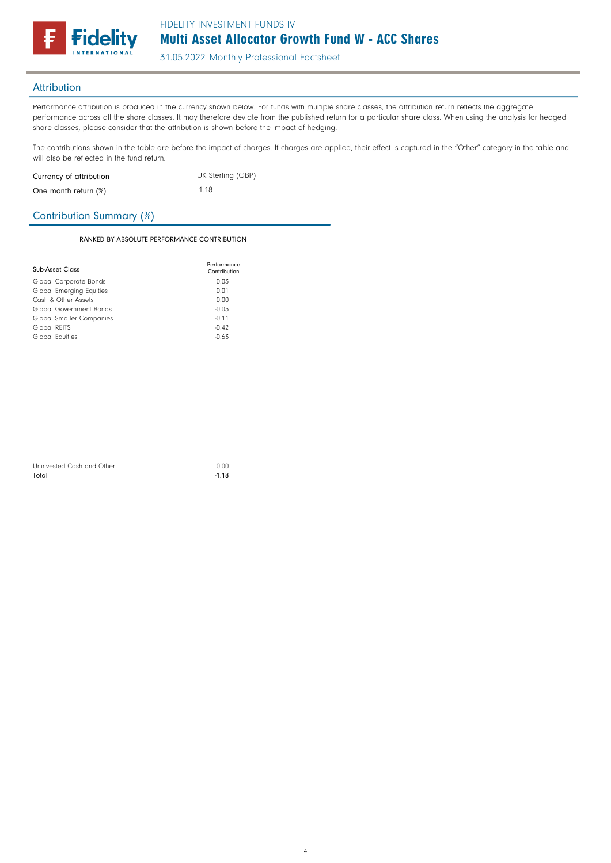

31.05.2022 Monthly Professional Factsheet

### **Attribution**

Performance attribution is produced in the currency shown below. For funds with multiple share classes, the attribution return reflects the aggregate performance across all the share classes. It may therefore deviate from the published return for a particular share class. When using the analysis for hedged share classes, please consider that the attribution is shown before the impact of hedging.

The contributions shown in the table are before the impact of charges. If charges are applied, their effect is captured in the "Other" category in the table and will also be reflected in the fund return.

| Currency of attribution | UK Sterling (GBP) |  |  |
|-------------------------|-------------------|--|--|
| One month return (%)    | $-1.18$           |  |  |

### Contribution Summary (%)

#### RANKED BY ABSOLUTE PERFORMANCE CONTRIBUTION

| Sub-Asset Class                 | Performance<br>Contribution |
|---------------------------------|-----------------------------|
| Global Corporate Bonds          | 0.03                        |
| <b>Global Emerging Equities</b> | 0.01                        |
| Cash & Other Assets             | 0.00                        |
| Global Government Bonds         | $-0.05$                     |
| <b>Global Smaller Companies</b> | $-0.11$                     |
| Global REITS                    | $-0.42$                     |
| Global Equities                 | $-0.63$                     |

| Uninvested Cash and Other | 0.00    |
|---------------------------|---------|
| Total                     | $-1.18$ |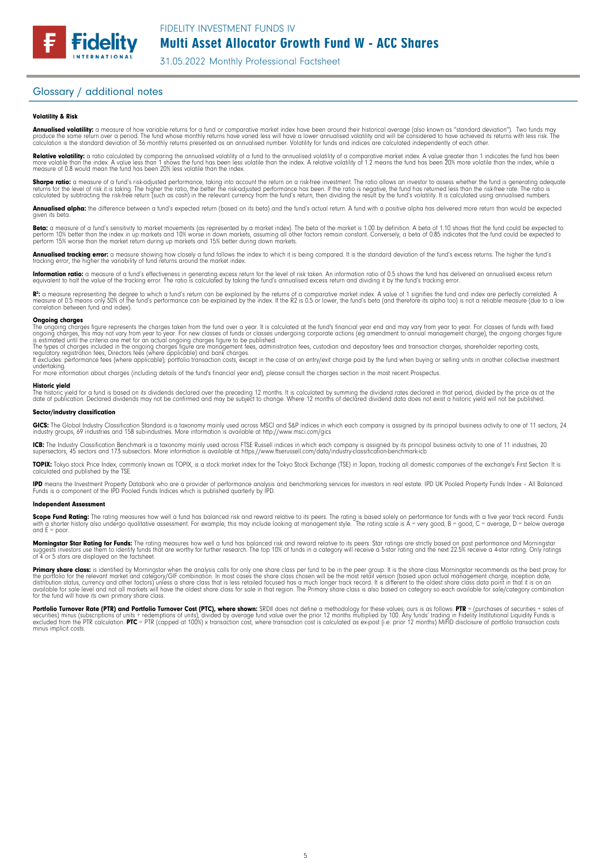# Multi Asset Allocator Growth Fund W - ACC Shares

31.05.2022 Monthly Professional Factsheet

#### Glossary / additional notes

**Fidelity** 

#### Volatility & Risk

**Annualised volatility:** a measure of how variable returns for a fund or comparative market index have been around their historical average (also known as "standard deviation"). Two funds may<br>produce the same return over a calculation is the standard deviation of 36 monthly returns presented as an annualised number. Volatility for funds and indices are calculated independently of each other.

**Relative volatility:** a ratio calculated by comparing the annualised volatility of a fund to the annualised volatility of a comparative market index. A value greater than 1 indicates the fund has been<br>more volatile than t measure of 0.8 would mean the fund has been 20% less volatile than the index.

**Sharpe ratio:** a measure of a fund's risk-adjusted performance, taking into account the return on a risk-free investment. The ratio allows an investor to assess whether the fund is generating adequate the fund is generati

**Annualised alpha:** the difference between a fund's expected return (based on its beta) and the fund's actual return. A fund with a positive alpha has delivered more return than would be expected given its beto

**Beta:** a measure of a fund's sensitivity to market movements (as represented by a market index). The beta of the market is 1.00 by definition. A beta of 1.10 shows that the fund could be expected to<br>perform 10% better tha

**Annualised tracking error:** a measure showing how closely a fund follows the index to which it is being compared. It is the standard deviation of the fund's excess returns. The higher the fund's<br>tracking error, the higher

**Information ratio:** a measure of a fund's effectiveness in generating excess return for the level of risk taken. An information ratio of 0.5 shows the fund has delivered an annualised excess return<br>equivalent to half the

R": a measure representing the degree to which a fund's return can be explained by the returns of a comparative market index. A value of 1 signifies the fund and index are perfectly correlated. A<br>measure of 0.5 means only correlation between fund and index).

#### **Ongoing charges**<br>The ongoing charge

The ongoing charges figure represents the charges taken from the fund over a year. It is calculated at the fund's financial year end and may vary from year to year. For classes of funds with fixed<br>ongoing charges, this may

The types of charges included in the ongoing charges figure are management fees, administration fees, custodian and depositary fees and transaction charges, shareholder reporting costs,<br>regulatory registration fees, Direct

undertaking. For more information about charges (including details of the fund's financial year end), please consult the charges section in the most recent Prospectus.

#### Historic yield

The historic yield for a fund is based on its dividends declared over the preceding 12 months. It is calculated by summing the dividend rates declared in that period, divided by the price as at the<br>date of publication. Dec

#### Sector/industry classification

**GICS:** The Global Industry Classification Standard is a taxonomy mainly used across MSCI and S&P indices in which each company is assigned by its principal business activity to one of 11 sectors, 24<br>industry groups, 69 in

**ICB:** The Industry Classification Benchmark is a taxonomy mainly used across FTSE Russell indices in which each company is assigned by its principal business activity to one of 11 industries, 20<br>supersectors, 45 sectors a

**TOPIX:** Tokyo stock Price Index, commonly known as TOPIX, is a stock market index for the Tokyo Stock Exchange (TSE) in Japan, tracking all domestic companies of the exchange's First Section. It is<br>calculated and publishe

**IPD** means the Investment Property Databank who are a provider of performance analysis and benchmarking services for investors in real estate. IPD UK Pooled Property Funds Index - All Balanced<br>Funds is a component of the

#### Independent Assessment

**Scope Fund Rating:** The rating measures how well a fund has balanced risk and reward relative to its peers. The rating is based solely on performance for funds with a five year track record. Funds<br>with a shorter history a and  $F =$  poor.

**Morningstar Star Rating for Funds:** The rating measures how well a fund has balanced risk and reward relative to its peers. Star ratings are strictly based on past performance and Morningstar<br>suggests investors use them t

**Primary share class:** is identified by Morningstar when the analysis calls tor only one share class per fund to be in the peer group. It is the share class Morningstar recommends as the best proxy for<br>the portfolio for th

Portfolio Turnover Rate (PTR) and Portfolio Turnover Cost (PTC), where shown: SRDII does not define a methodology for these values; ours is as follows: PTR = (purchases of securities + sales of<br>securities) minus (subscript minus implicit costs.